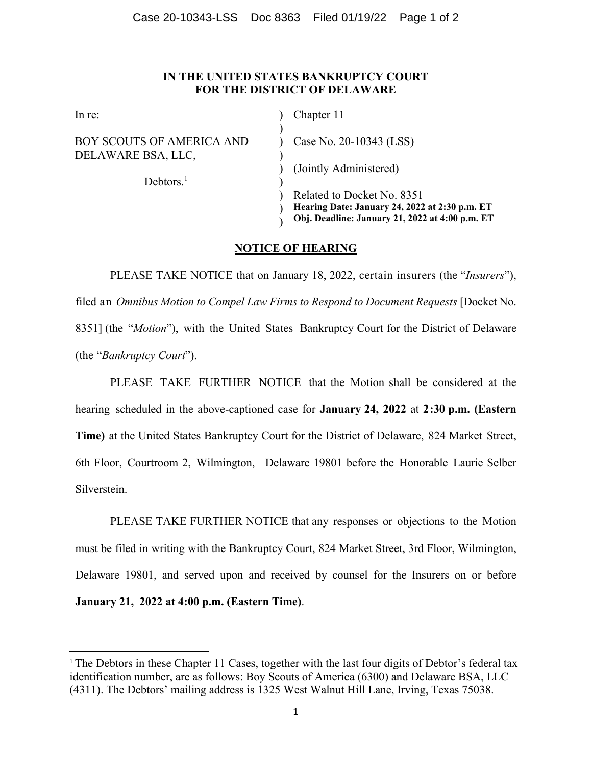## **IN THE UNITED STATES BANKRUPTCY COURT FOR THE DISTRICT OF DELAWARE**

| Chapter 11                                      |
|-------------------------------------------------|
| Case No. 20-10343 (LSS)                         |
|                                                 |
| (Jointly Administered)                          |
|                                                 |
| Related to Docket No. 8351                      |
| Hearing Date: January 24, 2022 at 2:30 p.m. ET  |
| Obj. Deadline: January 21, 2022 at 4:00 p.m. ET |
|                                                 |

## **NOTICE OF HEARING**

PLEASE TAKE NOTICE that on January 18, 2022, certain insurers (the "*Insurers*"), filed an *Omnibus Motion to Compel Law Firms to Respond to Document Requests* [Docket No. 8351] (the "*Motion*"), with the United States Bankruptcy Court for the District of Delaware (the "*Bankruptcy Court*").

PLEASE TAKE FURTHER NOTICE that the Motion shall be considered at the hearing scheduled in the above-captioned case for **January 24, 2022** at **2:30 p.m. (Eastern Time)** at the United States Bankruptcy Court for the District of Delaware, 824 Market Street, 6th Floor, Courtroom 2, Wilmington, Delaware 19801 before the Honorable Laurie Selber Silverstein.

PLEASE TAKE FURTHER NOTICE that any responses or objections to the Motion must be filed in writing with the Bankruptcy Court, 824 Market Street, 3rd Floor, Wilmington, Delaware 19801, and served upon and received by counsel for the Insurers on or before **January 21, 2022 at 4:00 p.m. (Eastern Time)**.

<sup>&</sup>lt;sup>1</sup> The Debtors in these Chapter 11 Cases, together with the last four digits of Debtor's federal tax identification number, are as follows: Boy Scouts of America (6300) and Delaware BSA, LLC (4311). The Debtors' mailing address is 1325 West Walnut Hill Lane, Irving, Texas 75038.